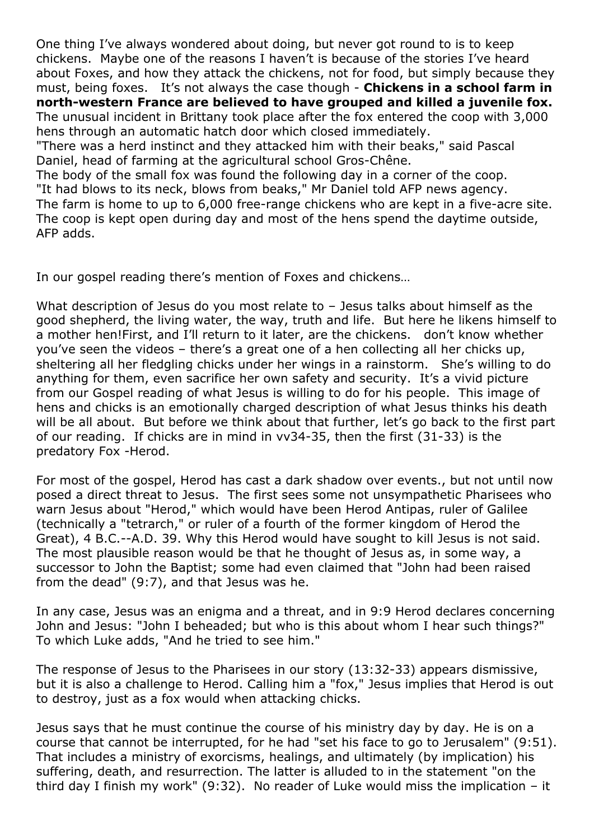One thing I've always wondered about doing, but never got round to is to keep chickens. Maybe one of the reasons I haven't is because of the stories I've heard about Foxes, and how they attack the chickens, not for food, but simply because they must, being foxes. It's not always the case though - **Chickens in a school farm in north-western France are believed to have grouped and killed a juvenile fox.** The unusual incident in Brittany took place after the fox entered the coop with 3,000 hens through an automatic hatch door which closed immediately. "There was a herd instinct and they attacked him with their beaks," said Pascal

Daniel, head of farming at the agricultural school Gros-Chêne.

The body of the small fox was found the following day in a corner of the coop. "It had blows to its neck, blows from beaks," Mr Daniel told AFP news agency.

The farm is home to up to 6,000 free-range chickens who are kept in a five-acre site. The coop is kept open during day and most of the hens spend the daytime outside, AFP adds.

In our gospel reading there's mention of Foxes and chickens…

What description of Jesus do you most relate to - Jesus talks about himself as the good shepherd, the living water, the way, truth and life. But here he likens himself to a mother hen!First, and I'll return to it later, are the chickens. don't know whether you've seen the videos – there's a great one of a hen collecting all her chicks up, sheltering all her fledgling chicks under her wings in a rainstorm. She's willing to do anything for them, even sacrifice her own safety and security. It's a vivid picture from our Gospel reading of what Jesus is willing to do for his people. This image of hens and chicks is an emotionally charged description of what Jesus thinks his death will be all about. But before we think about that further, let's go back to the first part of our reading. If chicks are in mind in vv34-35, then the first (31-33) is the predatory Fox -Herod.

For most of the gospel, Herod has cast a dark shadow over events., but not until now posed a direct threat to Jesus. The first sees some not unsympathetic Pharisees who warn Jesus about "Herod," which would have been Herod Antipas, ruler of Galilee (technically a "tetrarch," or ruler of a fourth of the former kingdom of Herod the Great), 4 B.C.--A.D. 39. Why this Herod would have sought to kill Jesus is not said. The most plausible reason would be that he thought of Jesus as, in some way, a successor to John the Baptist; some had even claimed that "John had been raised from the dead" (9:7), and that Jesus was he.

In any case, Jesus was an enigma and a threat, and in 9:9 Herod declares concerning John and Jesus: "John I beheaded; but who is this about whom I hear such things?" To which Luke adds, "And he tried to see him."

The response of Jesus to the Pharisees in our story (13:32-33) appears dismissive, but it is also a challenge to Herod. Calling him a "fox," Jesus implies that Herod is out to destroy, just as a fox would when attacking chicks.

Jesus says that he must continue the course of his ministry day by day. He is on a course that cannot be interrupted, for he had "set his face to go to Jerusalem" (9:51). That includes a ministry of exorcisms, healings, and ultimately (by implication) his suffering, death, and resurrection. The latter is alluded to in the statement "on the third day I finish my work" (9:32). No reader of Luke would miss the implication – it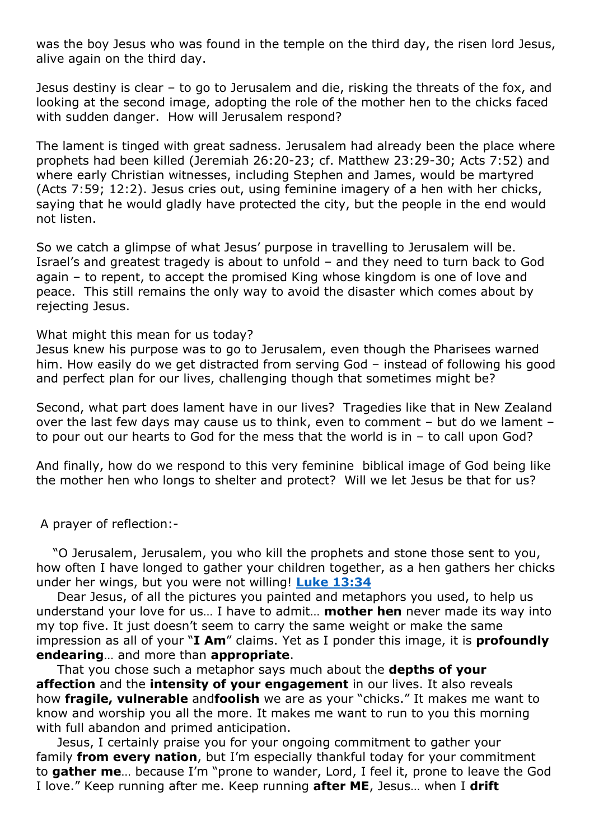was the boy Jesus who was found in the temple on the third day, the risen lord Jesus, alive again on the third day.

Jesus destiny is clear – to go to Jerusalem and die, risking the threats of the fox, and looking at the second image, adopting the role of the mother hen to the chicks faced with sudden danger. How will Jerusalem respond?

The lament is tinged with great sadness. Jerusalem had already been the place where prophets had been killed (Jeremiah 26:20-23; cf. Matthew 23:29-30; Acts 7:52) and where early Christian witnesses, including Stephen and James, would be martyred (Acts 7:59; 12:2). Jesus cries out, using feminine imagery of a hen with her chicks, saying that he would gladly have protected the city, but the people in the end would not listen.

So we catch a glimpse of what Jesus' purpose in travelling to Jerusalem will be. Israel's and greatest tragedy is about to unfold – and they need to turn back to God again – to repent, to accept the promised King whose kingdom is one of love and peace. This still remains the only way to avoid the disaster which comes about by rejecting Jesus.

## What might this mean for us today?

Jesus knew his purpose was to go to Jerusalem, even though the Pharisees warned him. How easily do we get distracted from serving God – instead of following his good and perfect plan for our lives, challenging though that sometimes might be?

Second, what part does lament have in our lives? Tragedies like that in New Zealand over the last few days may cause us to think, even to comment – but do we lament – to pour out our hearts to God for the mess that the world is in – to call upon God?

And finally, how do we respond to this very feminine biblical image of God being like the mother hen who longs to shelter and protect? Will we let Jesus be that for us?

A prayer of reflection:-

 "O Jerusalem, Jerusalem, you who kill the prophets and stone those sent to you, how often I have longed to gather your children together, as a hen gathers her chicks under her wings, but you were not willing! **Luke 13:34**

 Dear Jesus, of all the pictures you painted and metaphors you used, to help us understand your love for us… I have to admit… **mother hen** never made its way into my top five. It just doesn't seem to carry the same weight or make the same impression as all of your "**I Am**" claims. Yet as I ponder this image, it is **profoundly endearing**… and more than **appropriate**.

 That you chose such a metaphor says much about the **depths of your affection** and the **intensity of your engagement** in our lives. It also reveals how **fragile, vulnerable** and**foolish** we are as your "chicks." It makes me want to know and worship you all the more. It makes me want to run to you this morning with full abandon and primed anticipation.

 Jesus, I certainly praise you for your ongoing commitment to gather your family **from every nation**, but I'm especially thankful today for your commitment to **gather me**… because I'm "prone to wander, Lord, I feel it, prone to leave the God I love." Keep running after me. Keep running **after ME**, Jesus… when I **drift**